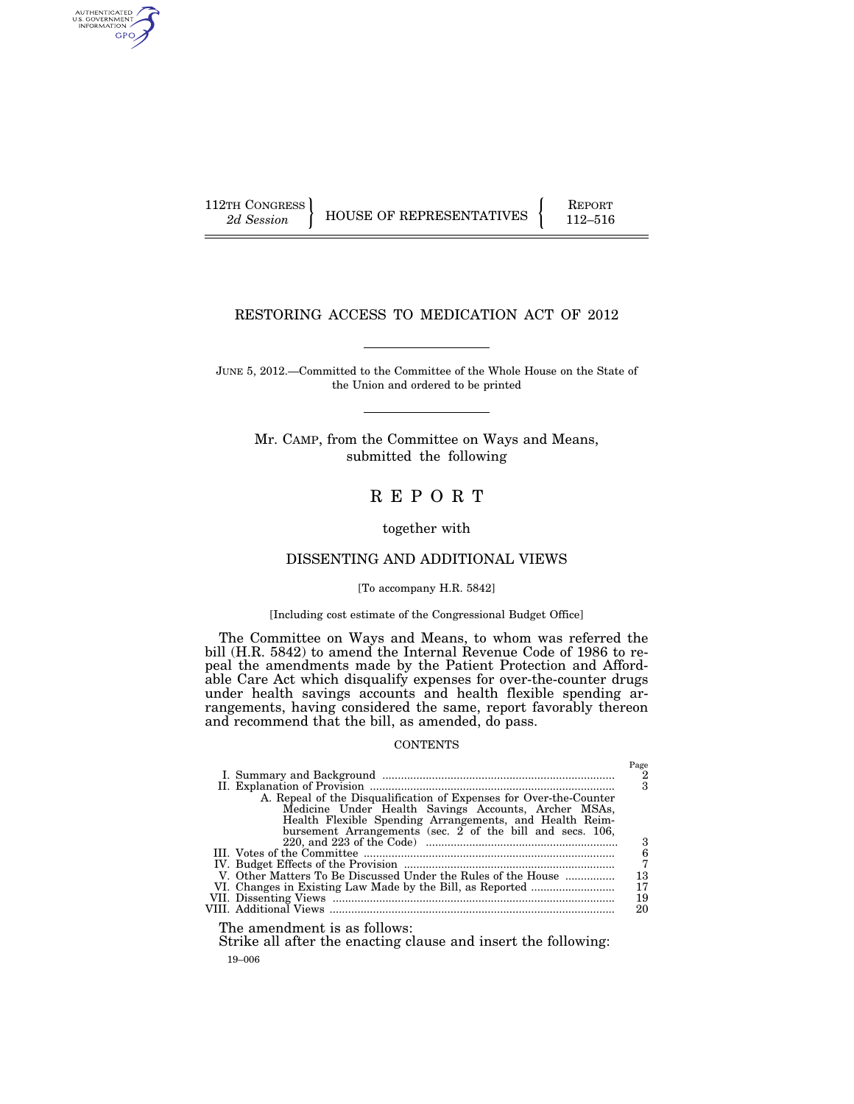AUTHENTICATED<br>U.S. GOVERNMENT<br>INFORMATION GPO

112TH CONGRESS HOUSE OF REPRESENTATIVES FEPORT 112–516

# RESTORING ACCESS TO MEDICATION ACT OF 2012

JUNE 5, 2012.—Committed to the Committee of the Whole House on the State of the Union and ordered to be printed

Mr. CAMP, from the Committee on Ways and Means, submitted the following

# R E P O R T

together with

## DISSENTING AND ADDITIONAL VIEWS

[To accompany H.R. 5842]

## [Including cost estimate of the Congressional Budget Office]

The Committee on Ways and Means, to whom was referred the bill (H.R. 5842) to amend the Internal Revenue Code of 1986 to repeal the amendments made by the Patient Protection and Affordable Care Act which disqualify expenses for over-the-counter drugs under health savings accounts and health flexible spending arrangements, having considered the same, report favorably thereon and recommend that the bill, as amended, do pass.

## **CONTENTS**

|                                                                    | Page |
|--------------------------------------------------------------------|------|
|                                                                    |      |
|                                                                    | 3    |
| A. Repeal of the Disqualification of Expenses for Over-the-Counter |      |
| Medicine Under Health Savings Accounts, Archer MSAs,               |      |
| Health Flexible Spending Arrangements, and Health Reim-            |      |
| bursement Arrangements (sec. $2$ of the bill and secs. 106,        |      |
|                                                                    | 3    |
|                                                                    | 6    |
|                                                                    |      |
| V. Other Matters To Be Discussed Under the Rules of the House      | 13   |
|                                                                    | 17   |
|                                                                    | 19   |
|                                                                    | 20   |
|                                                                    |      |

The amendment is as follows:

19–006 Strike all after the enacting clause and insert the following: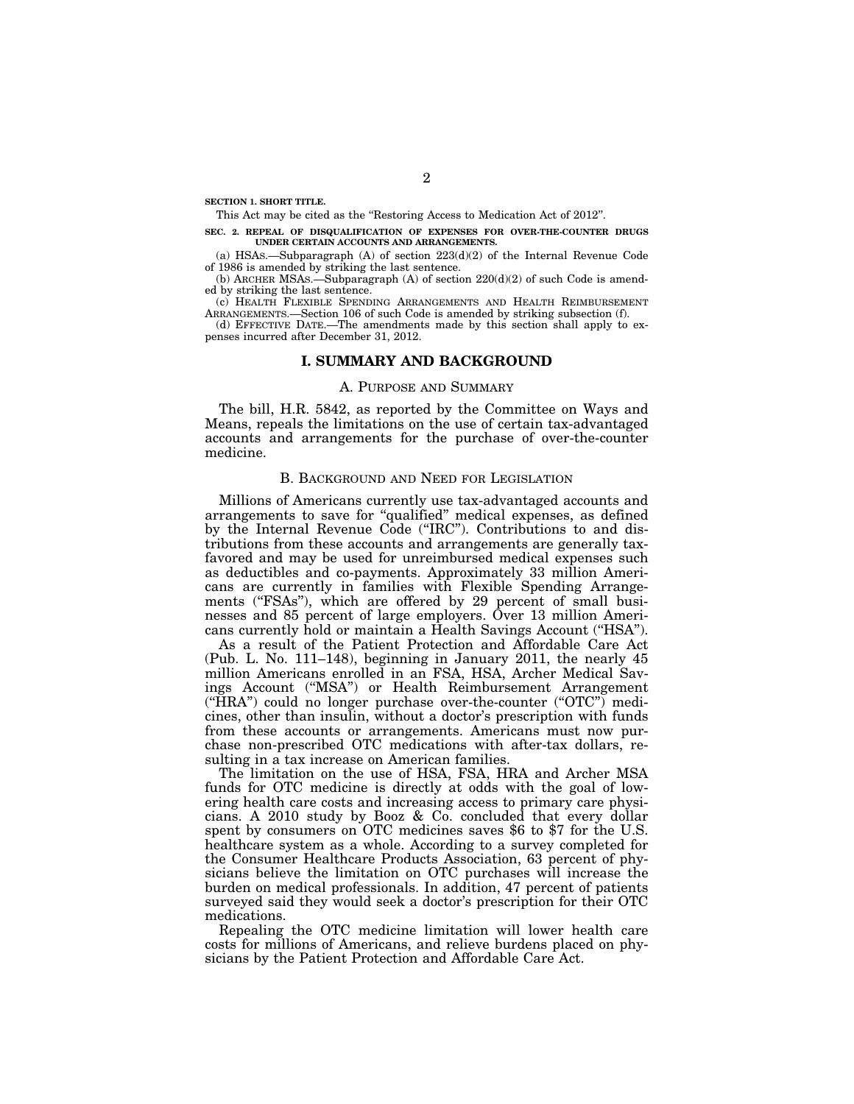**SECTION 1. SHORT TITLE.** 

This Act may be cited as the ''Restoring Access to Medication Act of 2012''.

**SEC. 2. REPEAL OF DISQUALIFICATION OF EXPENSES FOR OVER-THE-COUNTER DRUGS UNDER CERTAIN ACCOUNTS AND ARRANGEMENTS.** 

(a) HSAs.—Subparagraph (A) of section  $223(d)(2)$  of the Internal Revenue Code of 1986 is amended by striking the last sentence.

(b) ARCHER MSAs.—Subparagraph  $(A)$  of section  $220(d)(2)$  of such Code is amended by striking the last sentence.

(c) HEALTH FLEXIBLE SPENDING ARRANGEMENTS AND HEALTH REIMBURSEMENT ARRANGEMENTS.—Section 106 of such Code is amended by striking subsection (f).

(d) EFFECTIVE DATE.—The amendments made by this section shall apply to expenses incurred after December 31, 2012.

## **I. SUMMARY AND BACKGROUND**

### A. PURPOSE AND SUMMARY

The bill, H.R. 5842, as reported by the Committee on Ways and Means, repeals the limitations on the use of certain tax-advantaged accounts and arrangements for the purchase of over-the-counter medicine.

### B. BACKGROUND AND NEED FOR LEGISLATION

Millions of Americans currently use tax-advantaged accounts and arrangements to save for ''qualified'' medical expenses, as defined by the Internal Revenue Code (''IRC''). Contributions to and distributions from these accounts and arrangements are generally taxfavored and may be used for unreimbursed medical expenses such as deductibles and co-payments. Approximately 33 million Americans are currently in families with Flexible Spending Arrangements ("FSAs"), which are offered by 29 percent of small businesses and 85 percent of large employers. Over 13 million Americans currently hold or maintain a Health Savings Account (''HSA'').

As a result of the Patient Protection and Affordable Care Act (Pub. L. No. 111–148), beginning in January 2011, the nearly 45 million Americans enrolled in an FSA, HSA, Archer Medical Savings Account (''MSA'') or Health Reimbursement Arrangement  $("HRA")$  could no longer purchase over-the-counter  $("OTC")$  medicines, other than insulin, without a doctor's prescription with funds from these accounts or arrangements. Americans must now purchase non-prescribed OTC medications with after-tax dollars, resulting in a tax increase on American families.

The limitation on the use of HSA, FSA, HRA and Archer MSA funds for OTC medicine is directly at odds with the goal of lowering health care costs and increasing access to primary care physicians. A 2010 study by Booz & Co. concluded that every dollar spent by consumers on OTC medicines saves \$6 to \$7 for the U.S. healthcare system as a whole. According to a survey completed for the Consumer Healthcare Products Association, 63 percent of physicians believe the limitation on OTC purchases will increase the burden on medical professionals. In addition, 47 percent of patients surveyed said they would seek a doctor's prescription for their OTC medications.

Repealing the OTC medicine limitation will lower health care costs for millions of Americans, and relieve burdens placed on physicians by the Patient Protection and Affordable Care Act.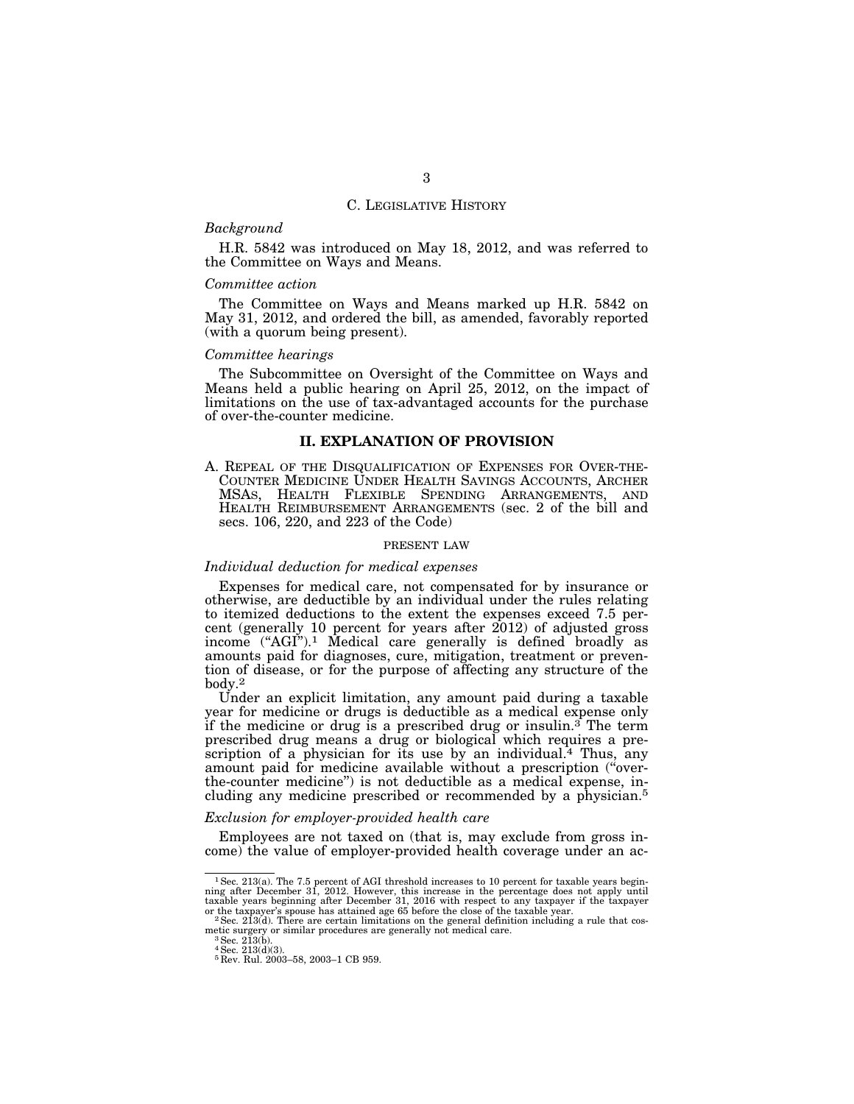### C. LEGISLATIVE HISTORY

# *Background*

H.R. 5842 was introduced on May 18, 2012, and was referred to the Committee on Ways and Means.

### *Committee action*

The Committee on Ways and Means marked up H.R. 5842 on May 31, 2012, and ordered the bill, as amended, favorably reported (with a quorum being present).

## *Committee hearings*

The Subcommittee on Oversight of the Committee on Ways and Means held a public hearing on April 25, 2012, on the impact of limitations on the use of tax-advantaged accounts for the purchase of over-the-counter medicine.

### **II. EXPLANATION OF PROVISION**

A. REPEAL OF THE DISQUALIFICATION OF EXPENSES FOR OVER-THE-COUNTER MEDICINE UNDER HEALTH SAVINGS ACCOUNTS, ARCHER MSAS, HEALTH FLEXIBLE SPENDING ARRANGEMENTS, AND HEALTH REIMBURSEMENT ARRANGEMENTS (sec. 2 of the bill and secs. 106, 220, and 223 of the Code)

### PRESENT LAW

## *Individual deduction for medical expenses*

Expenses for medical care, not compensated for by insurance or otherwise, are deductible by an individual under the rules relating to itemized deductions to the extent the expenses exceed 7.5 percent (generally 10 percent for years after  $2012$ ) of adjusted gross income ("AGI").<sup>1</sup> Medical care generally is defined broadly as amounts paid for diagnoses, cure, mitigation, treatment or prevention of disease, or for the purpose of affecting any structure of the body.2

Under an explicit limitation, any amount paid during a taxable year for medicine or drugs is deductible as a medical expense only if the medicine or drug is a prescribed drug or insulin.<sup>3</sup> The term prescribed drug means a drug or biological which requires a prescription of a physician for its use by an individual.<sup>4</sup> Thus, any amount paid for medicine available without a prescription (''overthe-counter medicine'') is not deductible as a medical expense, including any medicine prescribed or recommended by a physician.5

## *Exclusion for employer-provided health care*

Employees are not taxed on (that is, may exclude from gross income) the value of employer-provided health coverage under an ac-

 $1$  Sec. 213(a). The 7.5 percent of AGI threshold increases to 10 percent for taxable years beginning after December 31, 2012. However, this increase in the percentage does not apply until taxable years beginning after De or the taxpayer's spouse has attained age 65 before the close of the taxable year.<br><sup>2</sup>Sec. 213(d). There are certain limitations on the general definition including a rule that cos-

metic surgery or similar procedures are generally not medical care.<br><sup>3</sup>Sec. 213(b).

 $^{3}$  Sec. 213(b).<br> $^{4}$  Sec. 213(d)(3).

<sup>5</sup> Rev. Rul. 2003–58, 2003–1 CB 959.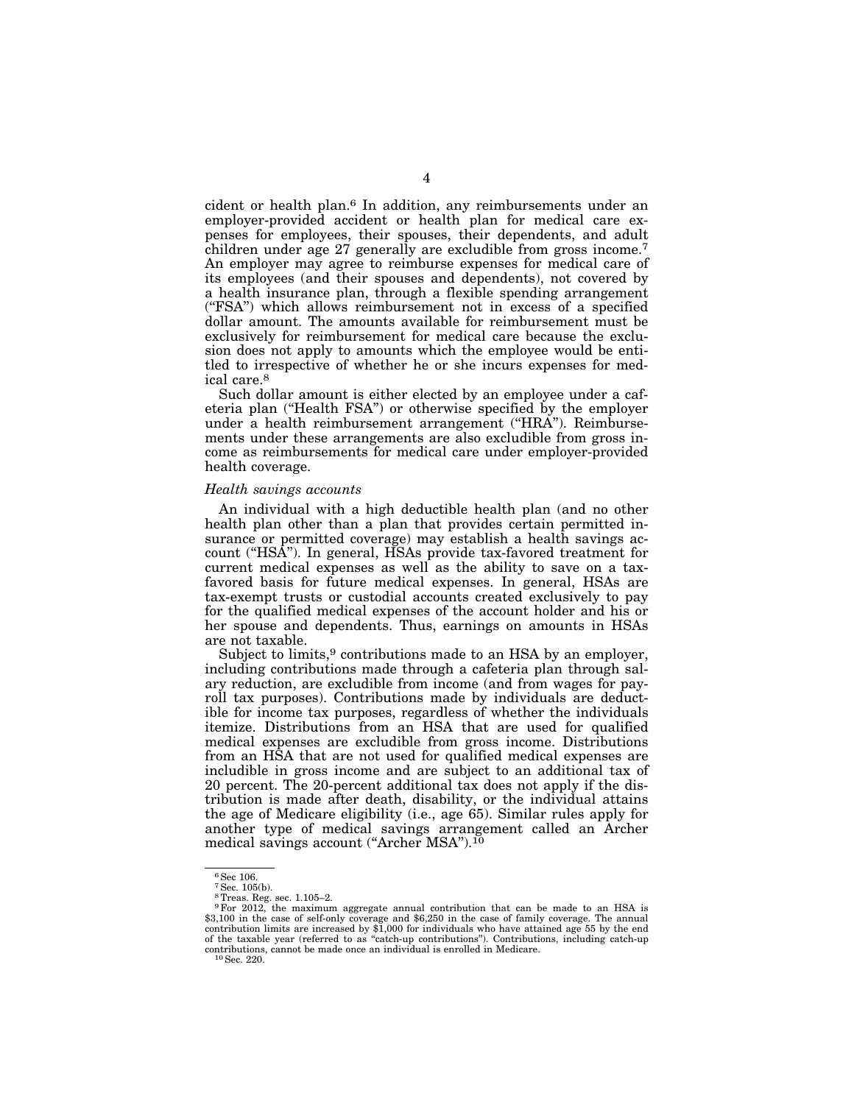cident or health plan.6 In addition, any reimbursements under an employer-provided accident or health plan for medical care expenses for employees, their spouses, their dependents, and adult children under age 27 generally are excludible from gross income.7 An employer may agree to reimburse expenses for medical care of its employees (and their spouses and dependents), not covered by a health insurance plan, through a flexible spending arrangement (''FSA'') which allows reimbursement not in excess of a specified dollar amount. The amounts available for reimbursement must be exclusively for reimbursement for medical care because the exclusion does not apply to amounts which the employee would be entitled to irrespective of whether he or she incurs expenses for medical care.8

Such dollar amount is either elected by an employee under a cafeteria plan (''Health FSA'') or otherwise specified by the employer under a health reimbursement arrangement (''HRA''). Reimbursements under these arrangements are also excludible from gross income as reimbursements for medical care under employer-provided health coverage.

### *Health savings accounts*

An individual with a high deductible health plan (and no other health plan other than a plan that provides certain permitted insurance or permitted coverage) may establish a health savings account ("HSA"). In general, HSAs provide tax-favored treatment for current medical expenses as well as the ability to save on a taxfavored basis for future medical expenses. In general, HSAs are tax-exempt trusts or custodial accounts created exclusively to pay for the qualified medical expenses of the account holder and his or her spouse and dependents. Thus, earnings on amounts in HSAs are not taxable.

Subject to limits,<sup>9</sup> contributions made to an HSA by an employer, including contributions made through a cafeteria plan through salary reduction, are excludible from income (and from wages for payroll tax purposes). Contributions made by individuals are deductible for income tax purposes, regardless of whether the individuals itemize. Distributions from an HSA that are used for qualified medical expenses are excludible from gross income. Distributions from an HSA that are not used for qualified medical expenses are includible in gross income and are subject to an additional tax of 20 percent. The 20-percent additional tax does not apply if the distribution is made after death, disability, or the individual attains the age of Medicare eligibility (i.e., age 65). Similar rules apply for another type of medical savings arrangement called an Archer medical savings account ("Archer MSA").<sup>10</sup>

<sup>6</sup>Sec 106.

<sup>7</sup>Sec. 105(b).

<sup>8</sup>Treas. Reg. sec. 1.105–2.

<sup>9</sup>For 2012, the maximum aggregate annual contribution that can be made to an HSA is \$3,100 in the case of self-only coverage and \$6,250 in the case of family coverage. The annual contribution limits are increased by \$1,000 for individuals who have attained age 55 by the end of the taxable year (referred to as ''catch-up contributions''). Contributions, including catch-up contributions, cannot be made once an individual is enrolled in Medicare. 10Sec. 220.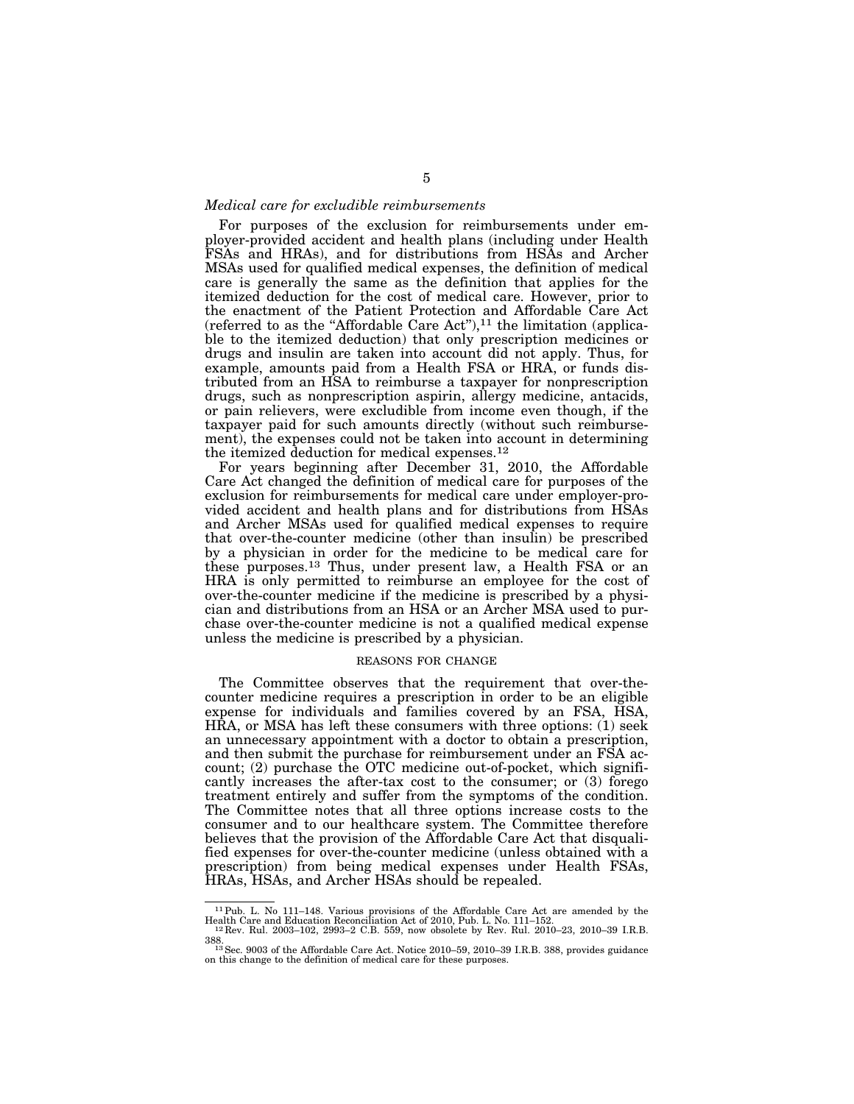### *Medical care for excludible reimbursements*

For purposes of the exclusion for reimbursements under employer-provided accident and health plans (including under Health FSAs and HRAs), and for distributions from HSAs and Archer MSAs used for qualified medical expenses, the definition of medical care is generally the same as the definition that applies for the itemized deduction for the cost of medical care. However, prior to the enactment of the Patient Protection and Affordable Care Act (referred to as the "Affordable Care Act"), $^{11}$  the limitation (applicable to the itemized deduction) that only prescription medicines or drugs and insulin are taken into account did not apply. Thus, for example, amounts paid from a Health FSA or HRA, or funds distributed from an HSA to reimburse a taxpayer for nonprescription drugs, such as nonprescription aspirin, allergy medicine, antacids, or pain relievers, were excludible from income even though, if the taxpayer paid for such amounts directly (without such reimbursement), the expenses could not be taken into account in determining the itemized deduction for medical expenses.12

For years beginning after December 31, 2010, the Affordable Care Act changed the definition of medical care for purposes of the exclusion for reimbursements for medical care under employer-provided accident and health plans and for distributions from HSAs and Archer MSAs used for qualified medical expenses to require that over-the-counter medicine (other than insulin) be prescribed by a physician in order for the medicine to be medical care for these purposes.13 Thus, under present law, a Health FSA or an HRA is only permitted to reimburse an employee for the cost of over-the-counter medicine if the medicine is prescribed by a physician and distributions from an HSA or an Archer MSA used to purchase over-the-counter medicine is not a qualified medical expense unless the medicine is prescribed by a physician.

## REASONS FOR CHANGE

The Committee observes that the requirement that over-thecounter medicine requires a prescription in order to be an eligible expense for individuals and families covered by an FSA, HSA, HRA, or MSA has left these consumers with three options: (1) seek an unnecessary appointment with a doctor to obtain a prescription, and then submit the purchase for reimbursement under an FSA account; (2) purchase the OTC medicine out-of-pocket, which significantly increases the after-tax cost to the consumer; or (3) forego treatment entirely and suffer from the symptoms of the condition. The Committee notes that all three options increase costs to the consumer and to our healthcare system. The Committee therefore believes that the provision of the Affordable Care Act that disqualified expenses for over-the-counter medicine (unless obtained with a prescription) from being medical expenses under Health FSAs, HRAs, HSAs, and Archer HSAs should be repealed.

<sup>&</sup>lt;sup>11</sup> Pub. L. No 111–148. Various provisions of the Affordable Care Act are amended by the Health Care and Education Reconciliation Act of 2010, Pub. L. No. 111–152.<br><sup>12</sup> Rev. Rul. 2003–102, 2993–2 C.B. 559, now obsolete b

<sup>388.&</sup>lt;br><sup>13</sup> Sec. 9003 of the Affordable Care Act. Notice 2010–59, 2010–39 I.R.B. 388, provides guidance on this change to the definition of medical care for these purposes.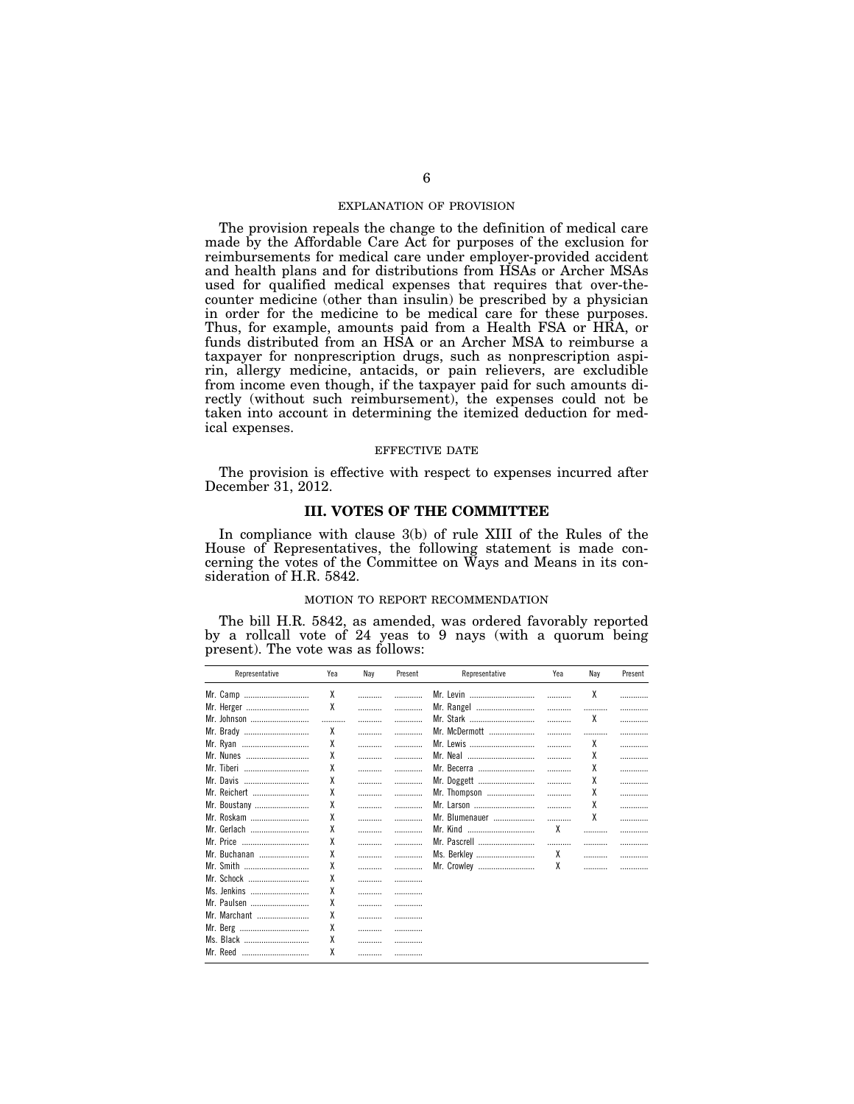### EXPLANATION OF PROVISION

The provision repeals the change to the definition of medical care made by the Affordable Care Act for purposes of the exclusion for reimbursements for medical care under employer-provided accident and health plans and for distributions from HSAs or Archer MSAs used for qualified medical expenses that requires that over-thecounter medicine (other than insulin) be prescribed by a physician in order for the medicine to be medical care for these purposes. Thus, for example, amounts paid from a Health FSA or HRA, or funds distributed from an HSA or an Archer MSA to reimburse a taxpayer for nonprescription drugs, such as nonprescription aspirin, allergy medicine, antacids, or pain relievers, are excludible from income even though, if the taxpayer paid for such amounts directly (without such reimbursement), the expenses could not be taken into account in determining the itemized deduction for medical expenses.

### EFFECTIVE DATE

The provision is effective with respect to expenses incurred after December 31, 2012.

### **III. VOTES OF THE COMMITTEE**

In compliance with clause 3(b) of rule XIII of the Rules of the House of Representatives, the following statement is made concerning the votes of the Committee on Ways and Means in its consideration of H.R. 5842.

### MOTION TO REPORT RECOMMENDATION

The bill H.R. 5842, as amended, was ordered favorably reported by a rollcall vote of 24 yeas to 9 nays (with a quorum being present). The vote was as follows:

| Representative | Yea | Nay | Present | Representative | Yea | Nay | Present |
|----------------|-----|-----|---------|----------------|-----|-----|---------|
| Mr. Camp       | χ   |     |         | Mr. Levin      | .   | χ   |         |
| Mr. Herger     | χ   |     |         | Mr. Rangel     |     |     |         |
| Mr. Johnson    |     |     |         | Mr. Stark      |     | χ   | .       |
| Mr. Brady      | χ   | .   | .       | Mr. McDermott  |     |     | .       |
| Mr. Ryan       | χ   |     |         | Mr. Lewis      |     | χ   | .       |
| Mr. Nunes      | χ   | .   |         | Mr. Neal       |     | χ   |         |
| Mr. Tiberi     | χ   |     |         | Mr. Becerra    |     | χ   |         |
| Mr. Davis      | χ   |     | .       | Mr. Doggett    | .   | χ   | .       |
| Mr. Reichert   | χ   |     |         | Mr. Thompson   |     | χ   |         |
| Mr. Boustany   | χ   |     |         | Mr. Larson     |     | χ   |         |
| Mr. Roskam     | χ   |     | .       | Mr. Blumenauer |     | χ   |         |
| Mr. Gerlach    | χ   |     |         | Mr. Kind       | χ   |     |         |
| Mr. Price      | χ   | .   | .       | Mr. Pascrell   |     |     |         |
| Mr. Buchanan   | χ   |     |         | Ms. Berkley    | χ   |     |         |
| Mr. Smith      | χ   | .   | .       | Mr. Crowley    | χ   |     |         |
| Mr. Schock     | χ   |     |         |                |     |     |         |
| Ms. Jenkins    | χ   |     |         |                |     |     |         |
| Mr. Paulsen    | χ   |     | .       |                |     |     |         |
| Mr. Marchant   | χ   |     | .       |                |     |     |         |
| Mr. Berg       | χ   |     |         |                |     |     |         |
| Ms. Black      | χ   |     |         |                |     |     |         |
| Mr. Reed       | χ   | .   |         |                |     |     |         |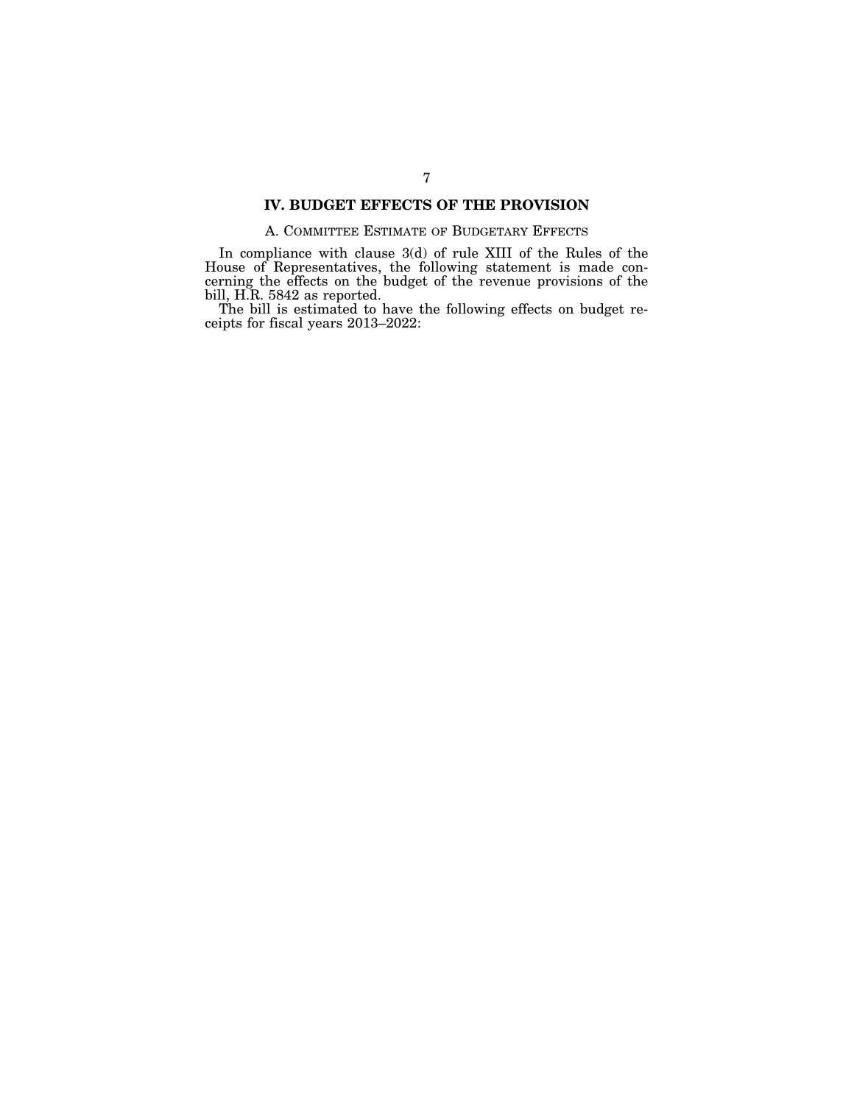# **IV. BUDGET EFFECTS OF THE PROVISION**

# A. COMMITTEE ESTIMATE OF BUDGETARY EFFECTS

In compliance with clause 3(d) of rule XIII of the Rules of the House of Representatives, the following statement is made concerning the effects on the budget of the revenue provisions of the bill, H.R. 5842 as reported.

The bill is estimated to have the following effects on budget receipts for fiscal years 2013–2022: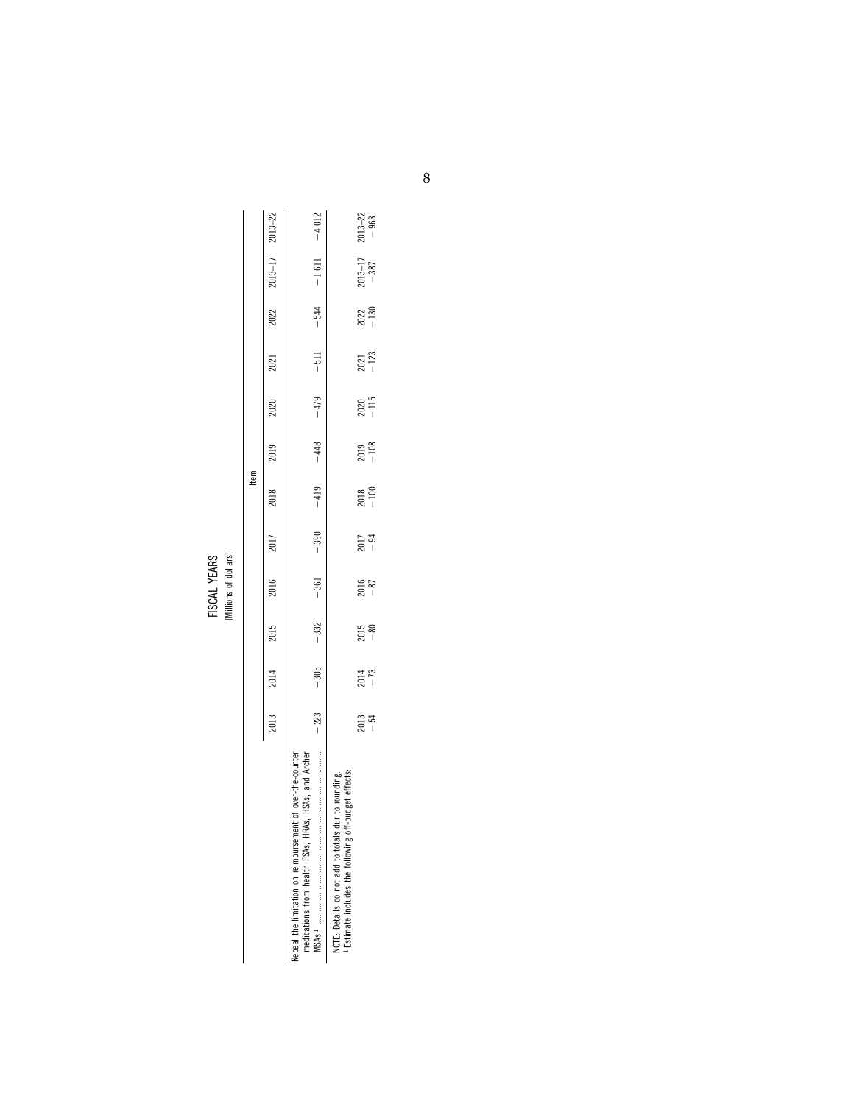|                                                                                                                                                               |                 |                    |                 | [Millions of dollars] |        |                  |                    |                    |                     |                    |                          |                     |
|---------------------------------------------------------------------------------------------------------------------------------------------------------------|-----------------|--------------------|-----------------|-----------------------|--------|------------------|--------------------|--------------------|---------------------|--------------------|--------------------------|---------------------|
|                                                                                                                                                               |                 |                    |                 |                       |        | ltem             |                    |                    |                     |                    |                          |                     |
|                                                                                                                                                               | 2013            | 2014               | 2015            | 2016                  | 2017   | 2018             | 2019               | 2020               | 2021                | 2022               | $2013 - 17$ $2013 - 22$  |                     |
| Repeal the limitation on reimbursement of over-the-counter<br>medications from health FSAs, HRAs, HSAs, and Archer                                            | $-223$          | $-305$             | $-332$          | $-361$                | $-390$ | $-419$           | $-448$             | $-479$             | $-511$              |                    | $-544$ $-1,611$ $-4,012$ |                     |
| NOTE: Details do not add to totals dur to rounding.<br><sup>1</sup> Estimate includes the following off-budget effects:<br>NOTE: Details do not add to totals |                 |                    |                 |                       |        |                  |                    |                    |                     |                    |                          |                     |
|                                                                                                                                                               | $2013$<br>$-54$ | $\frac{2014}{-73}$ | $2015$<br>$-80$ | $\frac{5016}{87}$     | 2017   | $2018$<br>$-100$ | $\frac{2019}{108}$ | $\frac{2020}{115}$ | $\frac{2021}{-123}$ | $\frac{2022}{130}$ | $2013 - 17$<br>-387      | $2013 - 22$<br>-963 |

| <b>YEARS</b> |                       |
|--------------|-----------------------|
| FISCAL       | [Millions of dollars] |
|              |                       |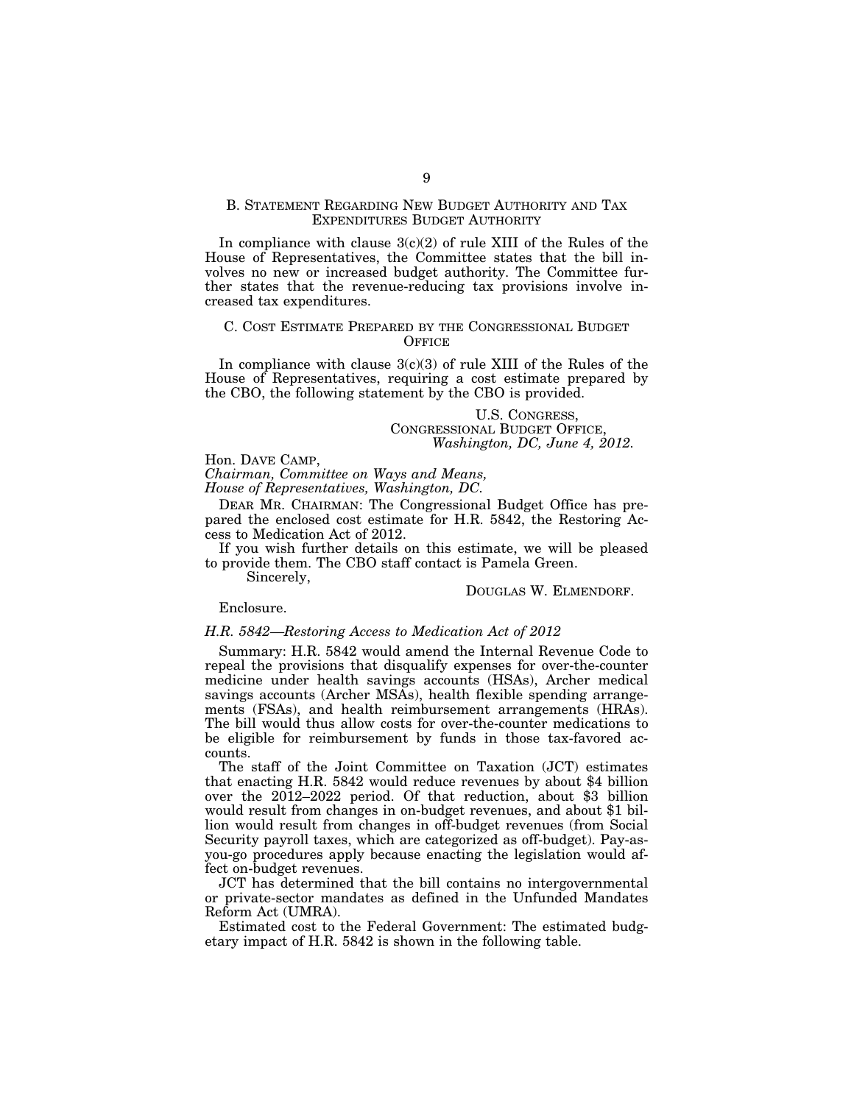## B. STATEMENT REGARDING NEW BUDGET AUTHORITY AND TAX EXPENDITURES BUDGET AUTHORITY

In compliance with clause  $3(c)(2)$  of rule XIII of the Rules of the House of Representatives, the Committee states that the bill involves no new or increased budget authority. The Committee further states that the revenue-reducing tax provisions involve increased tax expenditures.

## C. COST ESTIMATE PREPARED BY THE CONGRESSIONAL BUDGET **OFFICE**

In compliance with clause  $3(c)(3)$  of rule XIII of the Rules of the House of Representatives, requiring a cost estimate prepared by the CBO, the following statement by the CBO is provided.

> U.S. CONGRESS, CONGRESSIONAL BUDGET OFFICE, *Washington, DC, June 4, 2012.*

Hon. DAVE CAMP, *Chairman, Committee on Ways and Means,* 

*House of Representatives, Washington, DC.* 

DEAR MR. CHAIRMAN: The Congressional Budget Office has prepared the enclosed cost estimate for H.R. 5842, the Restoring Access to Medication Act of 2012.

If you wish further details on this estimate, we will be pleased to provide them. The CBO staff contact is Pamela Green.

Sincerely,

DOUGLAS W. ELMENDORF.

## Enclosure.

### *H.R. 5842—Restoring Access to Medication Act of 2012*

Summary: H.R. 5842 would amend the Internal Revenue Code to repeal the provisions that disqualify expenses for over-the-counter medicine under health savings accounts (HSAs), Archer medical savings accounts (Archer MSAs), health flexible spending arrangements (FSAs), and health reimbursement arrangements (HRAs). The bill would thus allow costs for over-the-counter medications to be eligible for reimbursement by funds in those tax-favored accounts.

The staff of the Joint Committee on Taxation (JCT) estimates that enacting H.R. 5842 would reduce revenues by about \$4 billion over the 2012–2022 period. Of that reduction, about \$3 billion would result from changes in on-budget revenues, and about \$1 billion would result from changes in off-budget revenues (from Social Security payroll taxes, which are categorized as off-budget). Pay-asyou-go procedures apply because enacting the legislation would affect on-budget revenues.

JCT has determined that the bill contains no intergovernmental or private-sector mandates as defined in the Unfunded Mandates Reform Act (UMRA).

Estimated cost to the Federal Government: The estimated budgetary impact of H.R. 5842 is shown in the following table.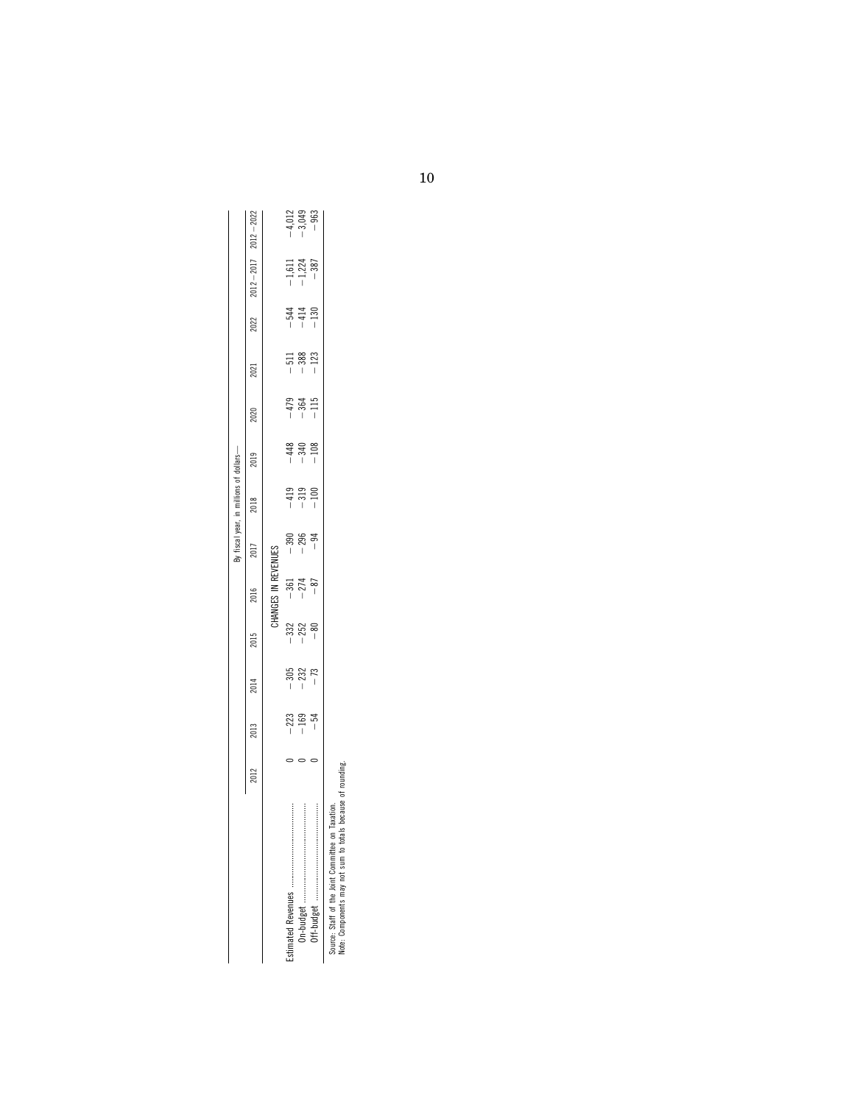|                                                     |      |                 |                 |                 |                           |                                 | By fiscal year, in millions of dollars- |                  |                            |        |                  |                                |                                |
|-----------------------------------------------------|------|-----------------|-----------------|-----------------|---------------------------|---------------------------------|-----------------------------------------|------------------|----------------------------|--------|------------------|--------------------------------|--------------------------------|
|                                                     | 2012 | 2013            | 2014            | 2015            | 2016                      | 2017                            | 2018                                    | 2019             | 2020                       | 2021   | 2022             | $2012 - 2017$                  | $2012 - 2022$                  |
|                                                     |      |                 |                 |                 | CHANGES IN REVENUES       |                                 |                                         |                  |                            |        |                  |                                |                                |
| <br> <br> <br> <br>                                 |      | $-223$          | $-305$          |                 |                           |                                 | $-419$                                  | $-448$           |                            | $-511$ |                  |                                |                                |
|                                                     |      | $-169$<br>$-54$ | $-232$<br>$-73$ | $-332$<br>$-80$ | $-361$<br>$-274$<br>$-87$ | $300$<br>$-290$<br>$-1$<br>$-1$ | $-319$                                  | $-340$<br>$-108$ | $-479$<br>$-364$<br>$-115$ | $-388$ | $-130$<br>$-130$ | $-1,611$<br>$-1,224$<br>$-387$ | $-4,012$<br>$-3,049$<br>$-963$ |
| <br> <br> <br> <br>                                 |      |                 |                 |                 |                           |                                 | $-100$                                  |                  |                            | $-123$ |                  |                                |                                |
| axation.<br>Source: Staff of the Joint Committee on |      |                 |                 |                 |                           |                                 |                                         |                  |                            |        |                  |                                |                                |

oounce: orani or the zonii. committee ori raxation.<br>Note: Components may not sum to totals because of rounding. Note: Components may not sum to totals because of rounding.

10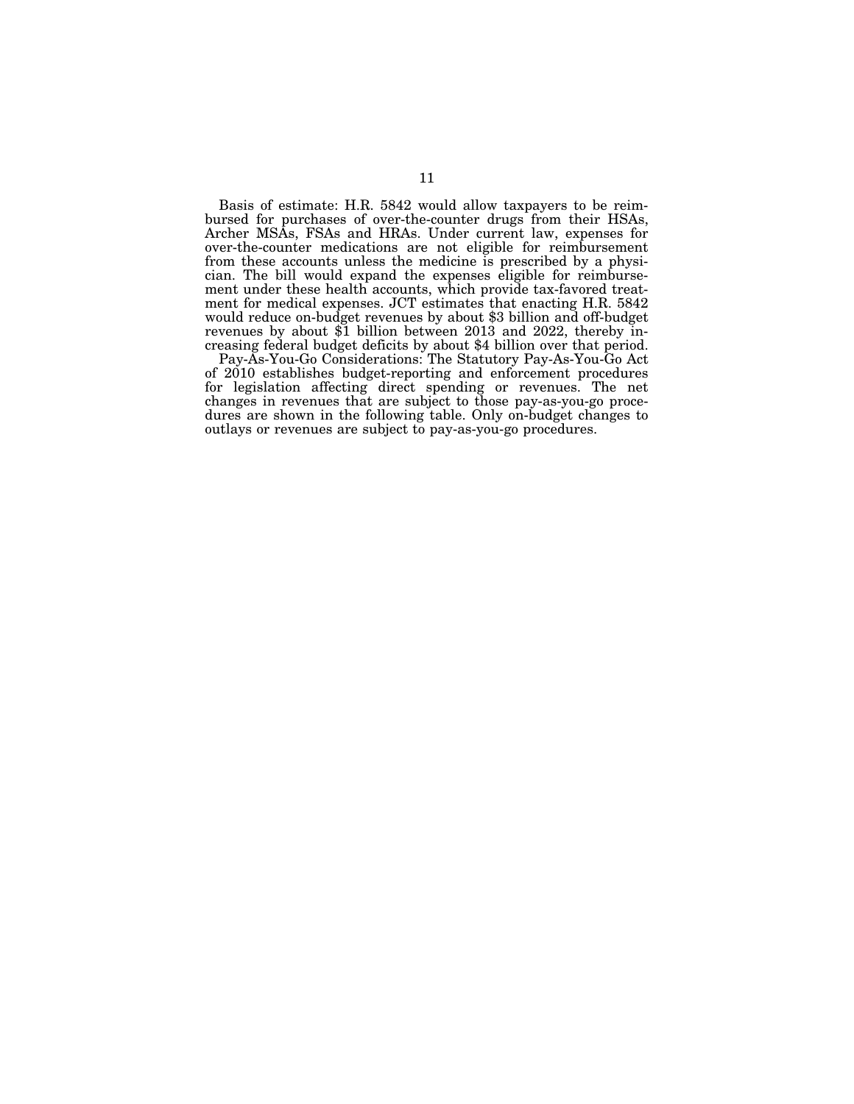Basis of estimate: H.R. 5842 would allow taxpayers to be reimbursed for purchases of over-the-counter drugs from their HSAs, Archer MSAs, FSAs and HRAs. Under current law, expenses for over-the-counter medications are not eligible for reimbursement from these accounts unless the medicine is prescribed by a physician. The bill would expand the expenses eligible for reimbursement under these health accounts, which provide tax-favored treatment for medical expenses. JCT estimates that enacting H.R. 5842 would reduce on-budget revenues by about \$3 billion and off-budget revenues by about \$1 billion between 2013 and 2022, thereby increasing federal budget deficits by about \$4 billion over that period.

Pay-As-You-Go Considerations: The Statutory Pay-As-You-Go Act of 2010 establishes budget-reporting and enforcement procedures for legislation affecting direct spending or revenues. The net changes in revenues that are subject to those pay-as-you-go procedures are shown in the following table. Only on-budget changes to outlays or revenues are subject to pay-as-you-go procedures.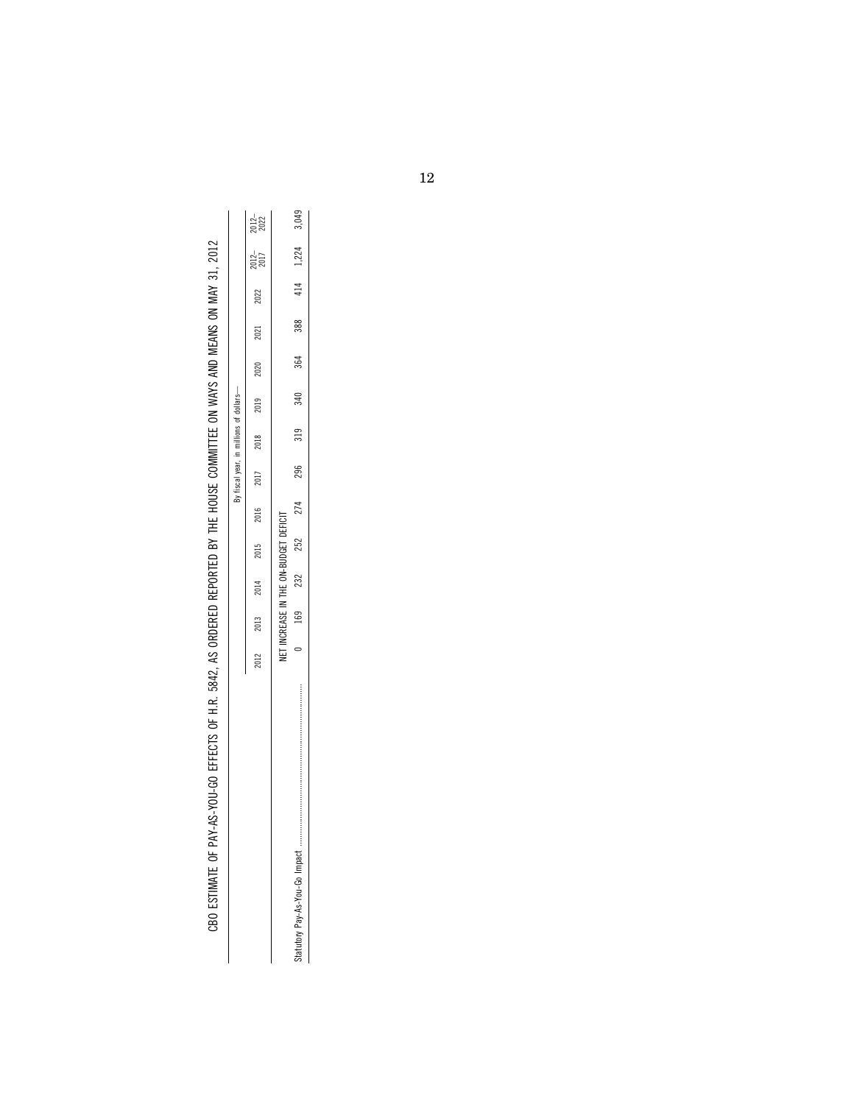| <br> <br>                                    |
|----------------------------------------------|
|                                              |
|                                              |
|                                              |
| .<br>.<br>.                                  |
|                                              |
|                                              |
|                                              |
| <b>CLLLFIERS</b><br>$\vdots$                 |
|                                              |
| <br> <br> <br> <br> <br> <br> <br> <br>      |
| ニュー・コード しゅうしょう                               |
|                                              |
| $\frac{1}{1}$                                |
|                                              |
| $\frac{1}{2}$<br>j<br>$\frac{1}{1}$          |
| $\frac{1}{2}$                                |
| ;<br>;<br>;<br>;                             |
|                                              |
|                                              |
|                                              |
|                                              |
|                                              |
|                                              |
|                                              |
| CBO ESTIMATE OF PAY-AS-YOU-GO EFFECTS OF H.F |
|                                              |

| "-AS-YOU-GO EFFECTS OF H.R. 5842. AS ORDERED REPORTED BY THE HOUSE COMMITTEE ON WAYS AND MEANS ON MAY 31, 2012 | By fiscal year, in millions of dollars- | 2012–<br>2022<br>$2022$ $2012-$<br>$2017$<br>2021<br>2020<br>2019<br>2016 2017 2018 |      | $319$ $340$ $360$ $360$ $360$ $3724$ $1414$ $414$ $415$ $360$<br>$169$ $252$ $252$ $274$ $296$ |  |  |  |  |      |                                       |  |
|----------------------------------------------------------------------------------------------------------------|-----------------------------------------|-------------------------------------------------------------------------------------|------|------------------------------------------------------------------------------------------------|--|--|--|--|------|---------------------------------------|--|
|                                                                                                                |                                         |                                                                                     |      |                                                                                                |  |  |  |  | 2015 | NET INCREASE IN THE ON-BUDGET DEFICIT |  |
|                                                                                                                |                                         |                                                                                     | 2014 |                                                                                                |  |  |  |  |      |                                       |  |
|                                                                                                                |                                         | 2013                                                                                |      |                                                                                                |  |  |  |  |      |                                       |  |
| CBO ESTIMATE OF PAY                                                                                            |                                         | 2012                                                                                |      |                                                                                                |  |  |  |  |      |                                       |  |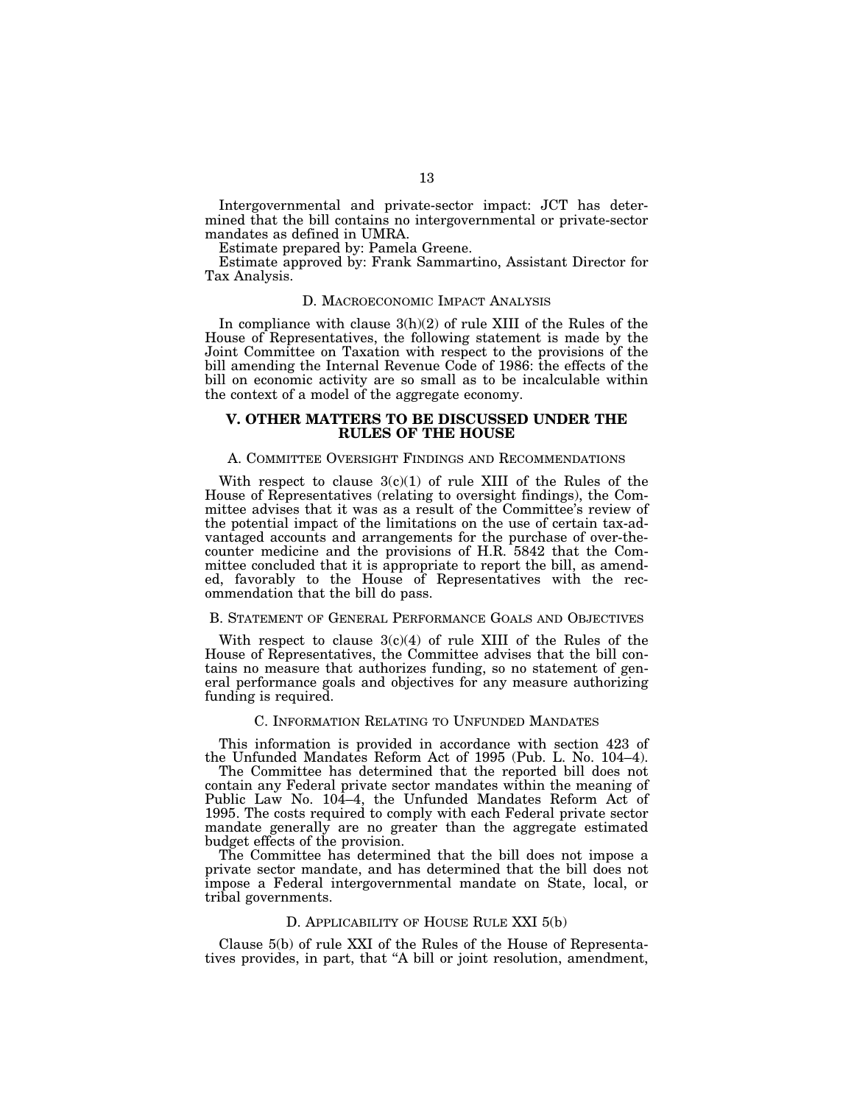Intergovernmental and private-sector impact: JCT has determined that the bill contains no intergovernmental or private-sector mandates as defined in UMRA.

Estimate prepared by: Pamela Greene.

Estimate approved by: Frank Sammartino, Assistant Director for Tax Analysis.

### D. MACROECONOMIC IMPACT ANALYSIS

In compliance with clause  $3(h)(2)$  of rule XIII of the Rules of the House of Representatives, the following statement is made by the Joint Committee on Taxation with respect to the provisions of the bill amending the Internal Revenue Code of 1986: the effects of the bill on economic activity are so small as to be incalculable within the context of a model of the aggregate economy.

### **V. OTHER MATTERS TO BE DISCUSSED UNDER THE RULES OF THE HOUSE**

### A. COMMITTEE OVERSIGHT FINDINGS AND RECOMMENDATIONS

With respect to clause  $3(c)(1)$  of rule XIII of the Rules of the House of Representatives (relating to oversight findings), the Committee advises that it was as a result of the Committee's review of the potential impact of the limitations on the use of certain tax-advantaged accounts and arrangements for the purchase of over-thecounter medicine and the provisions of H.R. 5842 that the Committee concluded that it is appropriate to report the bill, as amended, favorably to the House of Representatives with the recommendation that the bill do pass.

### B. STATEMENT OF GENERAL PERFORMANCE GOALS AND OBJECTIVES

With respect to clause  $3(c)(4)$  of rule XIII of the Rules of the House of Representatives, the Committee advises that the bill contains no measure that authorizes funding, so no statement of general performance goals and objectives for any measure authorizing funding is required.

### C. INFORMATION RELATING TO UNFUNDED MANDATES

This information is provided in accordance with section 423 of the Unfunded Mandates Reform Act of 1995 (Pub. L. No. 104–4).

The Committee has determined that the reported bill does not contain any Federal private sector mandates within the meaning of Public Law No. 104-4, the Unfunded Mandates Reform Act of 1995. The costs required to comply with each Federal private sector mandate generally are no greater than the aggregate estimated budget effects of the provision.

The Committee has determined that the bill does not impose a private sector mandate, and has determined that the bill does not impose a Federal intergovernmental mandate on State, local, or tribal governments.

### D. APPLICABILITY OF HOUSE RULE XXI 5(b)

Clause 5(b) of rule XXI of the Rules of the House of Representatives provides, in part, that ''A bill or joint resolution, amendment,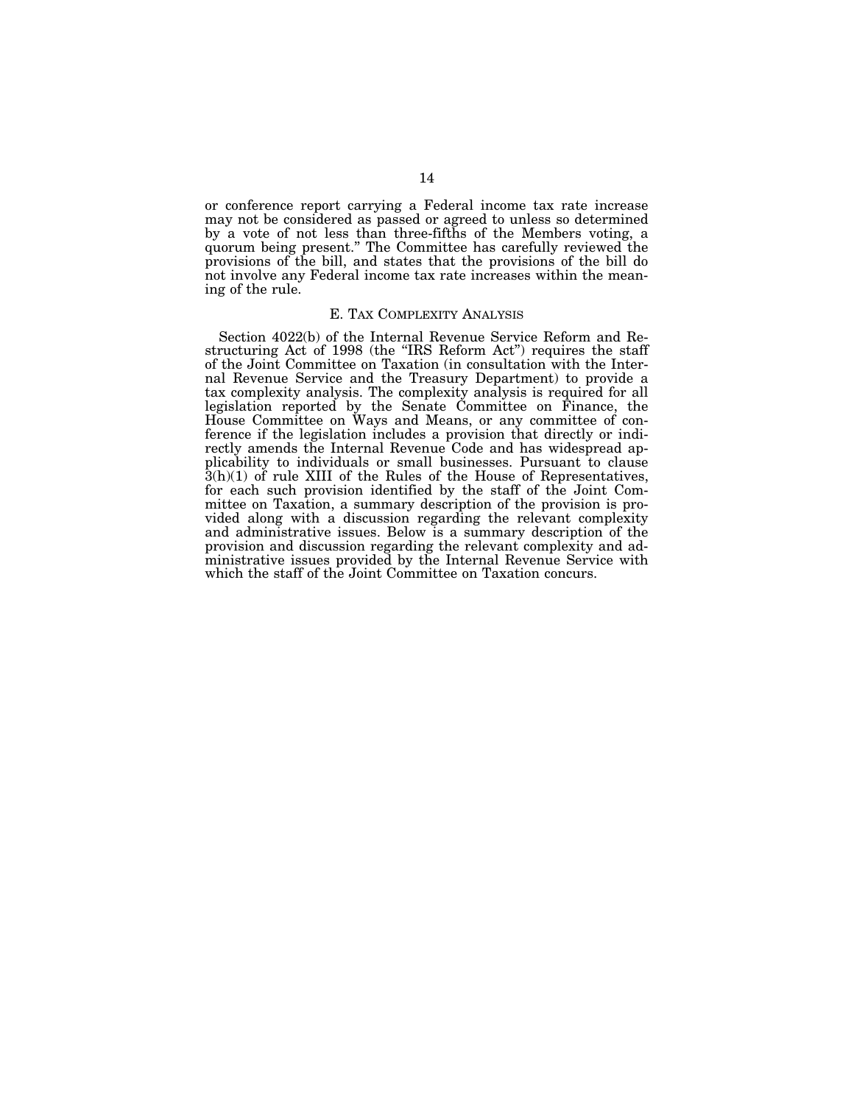or conference report carrying a Federal income tax rate increase may not be considered as passed or agreed to unless so determined by a vote of not less than three-fifths of the Members voting, a quorum being present.'' The Committee has carefully reviewed the provisions of the bill, and states that the provisions of the bill do not involve any Federal income tax rate increases within the meaning of the rule.

## E. TAX COMPLEXITY ANALYSIS

Section 4022(b) of the Internal Revenue Service Reform and Restructuring Act of 1998 (the "IRS Reform Act") requires the staff of the Joint Committee on Taxation (in consultation with the Internal Revenue Service and the Treasury Department) to provide a tax complexity analysis. The complexity analysis is required for all legislation reported by the Senate Committee on Finance, the House Committee on Ways and Means, or any committee of conference if the legislation includes a provision that directly or indirectly amends the Internal Revenue Code and has widespread applicability to individuals or small businesses. Pursuant to clause 3(h)(1) of rule XIII of the Rules of the House of Representatives, for each such provision identified by the staff of the Joint Committee on Taxation, a summary description of the provision is provided along with a discussion regarding the relevant complexity and administrative issues. Below is a summary description of the provision and discussion regarding the relevant complexity and administrative issues provided by the Internal Revenue Service with which the staff of the Joint Committee on Taxation concurs.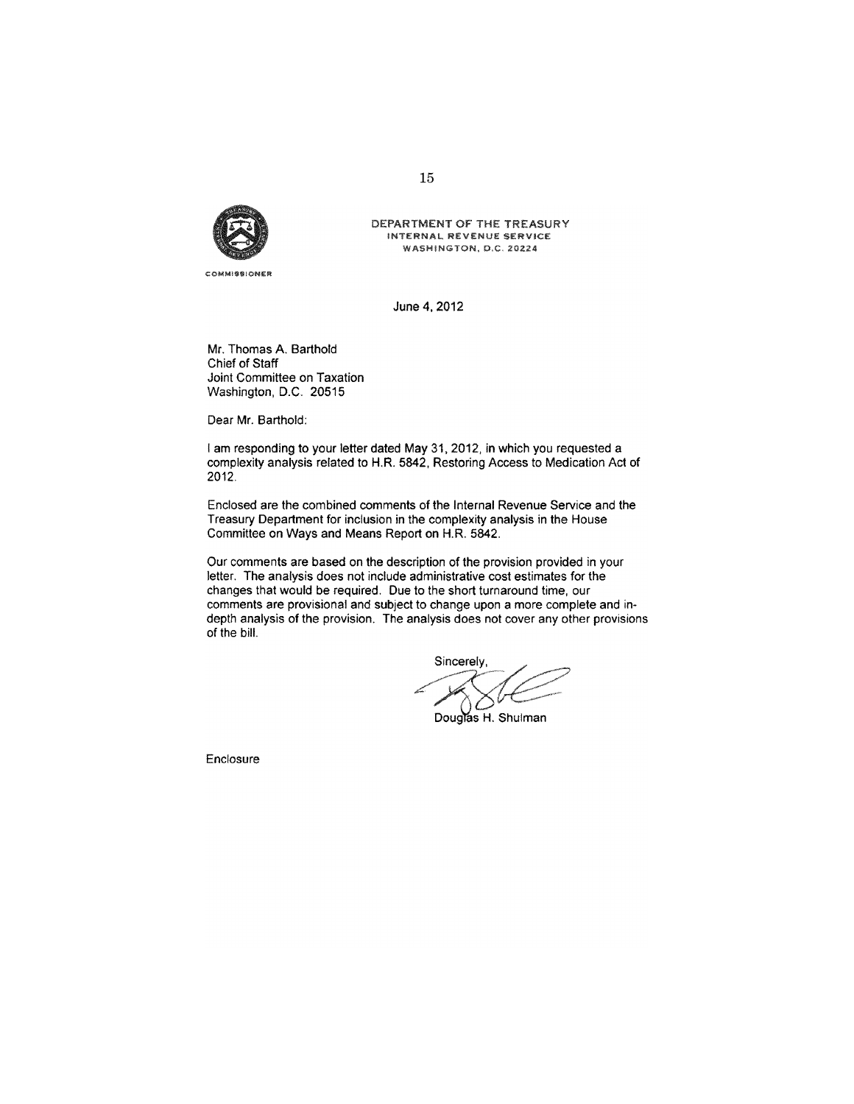

**COMMISSIONER** 

DEPARTMENT OF THE TREASURY INTERNAL REVENUE SERVICE WASHINGTON, D.C. 20224

June 4, 2012

Mr. Thomas A. Barthold Chief of Staff Joint Committee on Taxation Washington, D.C. 20515

Dear Mr. Barthold:

I am responding to your letter dated May 31, 2012, in which you requested a complexity analysis related to H.R. 5842, Restoring Access to Medication Act of 2012.

Enclosed are the combined comments of the Internal Revenue Service and the Treasury Department for inclusion in the complexity analysis in the House Committee on Ways and Means Report on H.R. 5842.

Our comments are based on the description of the provision provided in your letter. The analysis does not include administrative cost estimates for the changes that would be required. Due to the short turnaround time, our comments are provisional and subject to change upon a more complete and indepth analysis of the provision. The analysis does not cover any other provisions of the bill.

Sincerely, Douglas H. Shulman

Enclosure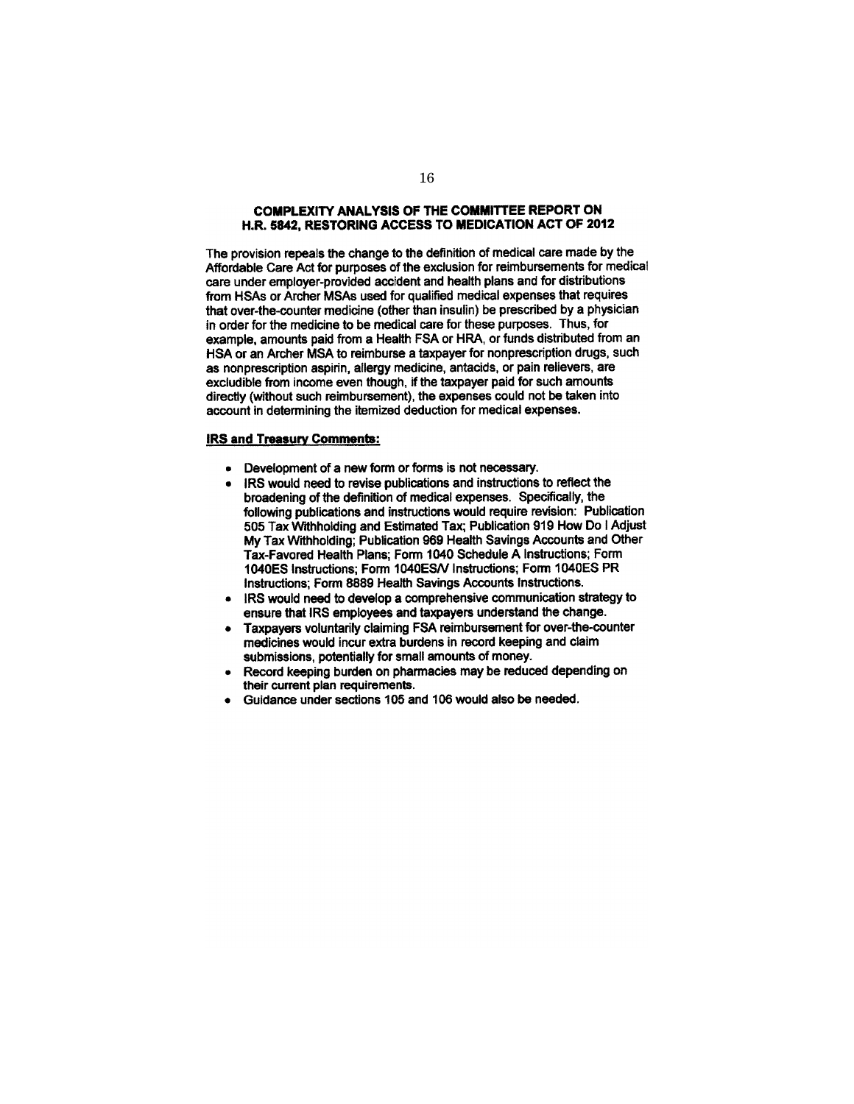## **COMPLEXITY ANALYSIS OF THE COMMITTEE REPORT ON** H.R. 5842, RESTORING ACCESS TO MEDICATION ACT OF 2012

The provision repeals the change to the definition of medical care made by the Affordable Care Act for purposes of the exclusion for reimbursements for medical care under employer-provided accident and health plans and for distributions from HSAs or Archer MSAs used for qualified medical expenses that requires that over-the-counter medicine (other than insulin) be prescribed by a physician in order for the medicine to be medical care for these purposes. Thus, for example, amounts paid from a Health FSA or HRA, or funds distributed from an HSA or an Archer MSA to reimburse a taxpayer for nonprescription drugs, such as nonprescription aspirin, allergy medicine, antacids, or pain relievers, are excludible from income even though, if the taxpayer paid for such amounts directly (without such reimbursement), the expenses could not be taken into account in determining the itemized deduction for medical expenses.

## **IRS and Treasury Comments:**

- Development of a new form or forms is not necessary.  $\bullet$
- IRS would need to revise publications and instructions to reflect the broadening of the definition of medical expenses. Specifically, the following publications and instructions would require revision: Publication 505 Tax Withholding and Estimated Tax; Publication 919 How Do I Adjust My Tax Withholding; Publication 969 Health Savings Accounts and Other Tax-Favored Health Plans; Form 1040 Schedule A Instructions; Form 1040ES Instructions; Form 1040ES/V Instructions; Form 1040ES PR Instructions; Form 8889 Health Savings Accounts Instructions.
- IRS would need to develop a comprehensive communication strategy to  $\bullet$ ensure that IRS employees and taxpayers understand the change.
- Taxpayers voluntarily claiming FSA reimbursement for over-the-counter medicines would incur extra burdens in record keeping and claim submissions, potentially for small amounts of money.
- Record keeping burden on pharmacies may be reduced depending on their current plan requirements.
- Guidance under sections 105 and 106 would also be needed.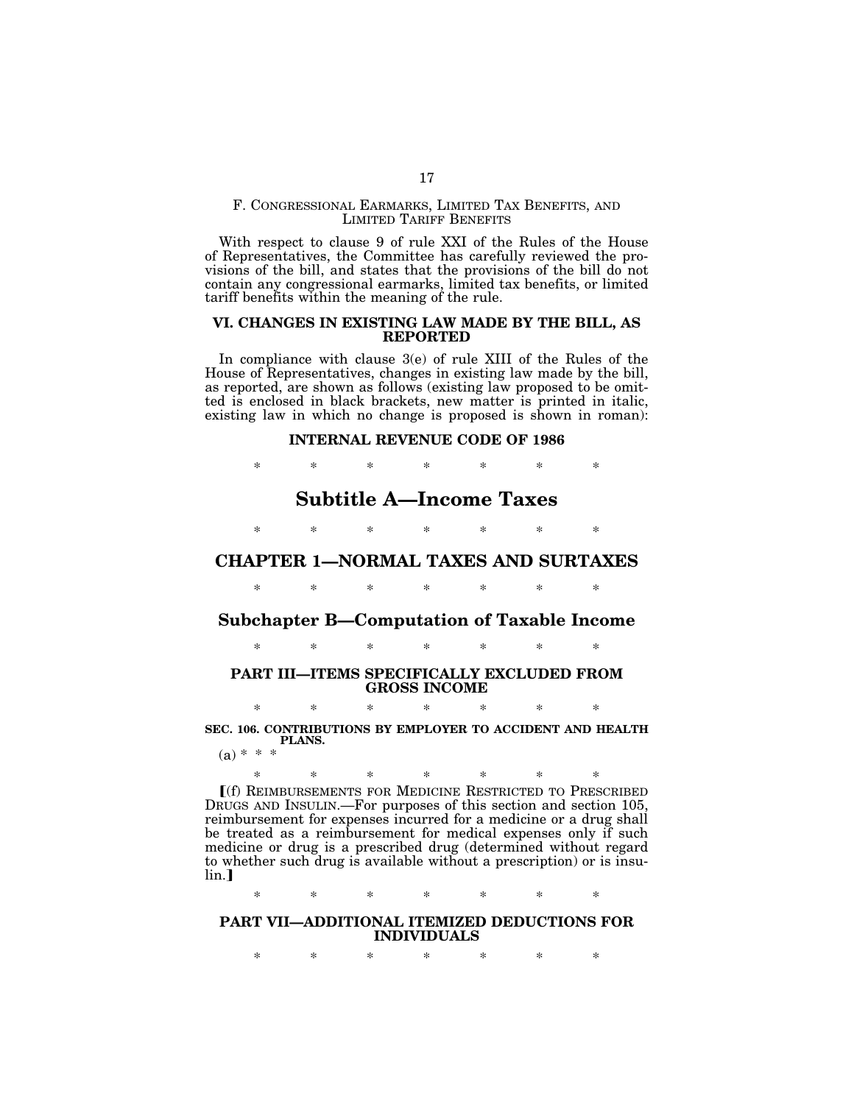## F. CONGRESSIONAL EARMARKS, LIMITED TAX BENEFITS, AND LIMITED TARIFF BENEFITS

With respect to clause 9 of rule XXI of the Rules of the House of Representatives, the Committee has carefully reviewed the provisions of the bill, and states that the provisions of the bill do not contain any congressional earmarks, limited tax benefits, or limited tariff benefits within the meaning of the rule.

## **VI. CHANGES IN EXISTING LAW MADE BY THE BILL, AS REPORTED**

In compliance with clause 3(e) of rule XIII of the Rules of the House of Representatives, changes in existing law made by the bill, as reported, are shown as follows (existing law proposed to be omitted is enclosed in black brackets, new matter is printed in italic, existing law in which no change is proposed is shown in roman):

## **INTERNAL REVENUE CODE OF 1986**

\* \* \* \* \* \* \*

# **Subtitle A—Income Taxes**

\* \* \* \* \* \* \*

# **CHAPTER 1—NORMAL TAXES AND SURTAXES**

\* \* \* \* \* \* \*

# **Subchapter B—Computation of Taxable Income**

\* \* \* \* \* \* \*

## **PART III—ITEMS SPECIFICALLY EXCLUDED FROM GROSS INCOME**

\* \* \* \* \* \* \* **SEC. 106. CONTRIBUTIONS BY EMPLOYER TO ACCIDENT AND HEALTH PLANS.** 

 $(a) * * *$ 

\* \* \* \* \* \* \* ø(f) REIMBURSEMENTS FOR MEDICINE RESTRICTED TO PRESCRIBED

DRUGS AND INSULIN.—For purposes of this section and section 105, reimbursement for expenses incurred for a medicine or a drug shall be treated as a reimbursement for medical expenses only if such medicine or drug is a prescribed drug (determined without regard to whether such drug is available without a prescription) or is insu $lin.$ ]

\* \* \* \* \* \* \*

## **PART VII—ADDITIONAL ITEMIZED DEDUCTIONS FOR INDIVIDUALS**

\* \* \* \* \* \* \*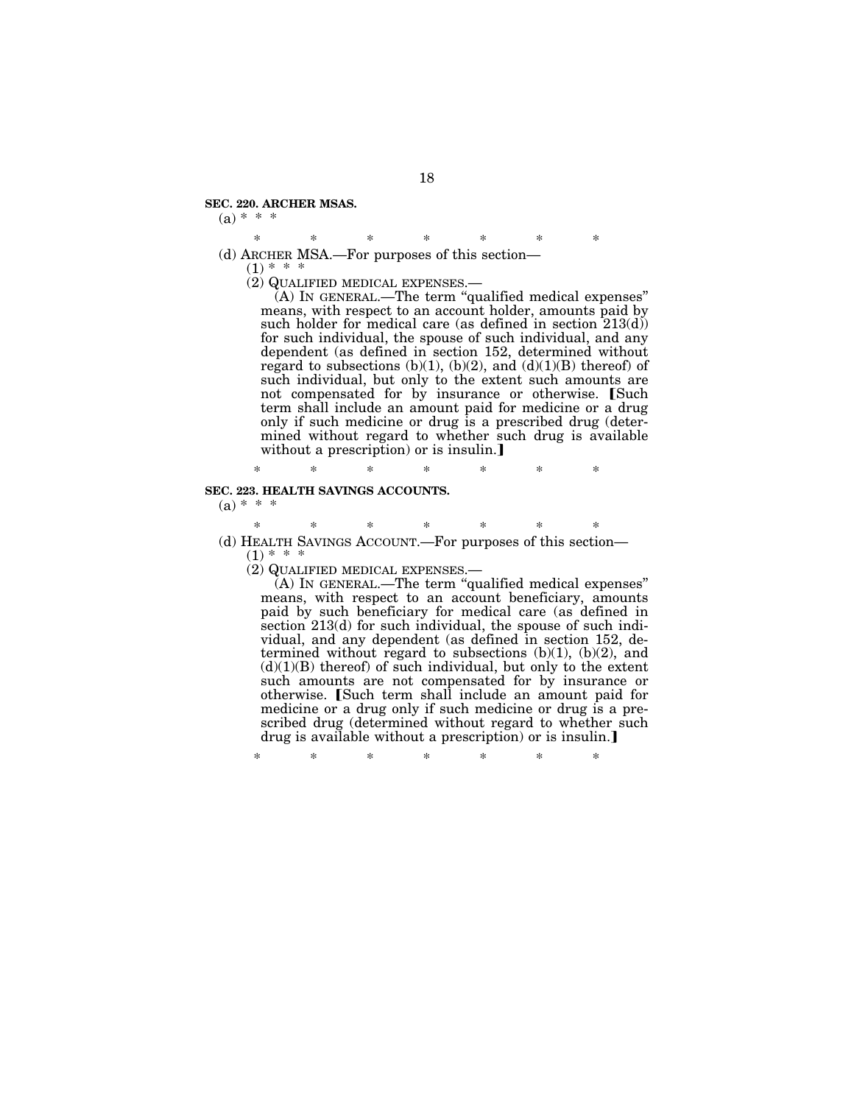### **SEC. 220. ARCHER MSAS.**

 $(a) * * *$ 

\* \* \* \* \* \* \* (d) ARCHER MSA.—For purposes of this section—

 $(1)$  \* \* \*<br>(2) QUALIFIED MEDICAL EXPENSES.—

 $(A)$  In GENERAL.—The term "qualified medical expenses" means, with respect to an account holder, amounts paid by such holder for medical care (as defined in section 213(d)) for such individual, the spouse of such individual, and any dependent (as defined in section 152, determined without regard to subsections  $(b)(1)$ ,  $(b)(2)$ , and  $(d)(1)(B)$  thereof) of such individual, but only to the extent such amounts are not compensated for by insurance or otherwise. [Such term shall include an amount paid for medicine or a drug only if such medicine or drug is a prescribed drug (determined without regard to whether such drug is available without a prescription) or is insulin.

\* \* \* \* \* \* \*

# **SEC. 223. HEALTH SAVINGS ACCOUNTS.**

 $(a) * * * *$ 

\* \* \* \* \* \* \* (d) HEALTH SAVINGS ACCOUNT.—For purposes of this section—  $(1)$  \* \*

(2) QUALIFIED MEDICAL EXPENSES.—

(A) IN GENERAL.—The term ''qualified medical expenses'' means, with respect to an account beneficiary, amounts paid by such beneficiary for medical care (as defined in section 213(d) for such individual, the spouse of such individual, and any dependent (as defined in section 152, determined without regard to subsections  $(b)(1)$ ,  $(b)(2)$ , and  $(d)(1)(B)$  thereof) of such individual, but only to the extent such amounts are not compensated for by insurance or otherwise. [Such term shall include an amount paid for medicine or a drug only if such medicine or drug is a prescribed drug (determined without regard to whether such drug is available without a prescription) or is insulin.

\* \* \* \* \* \* \*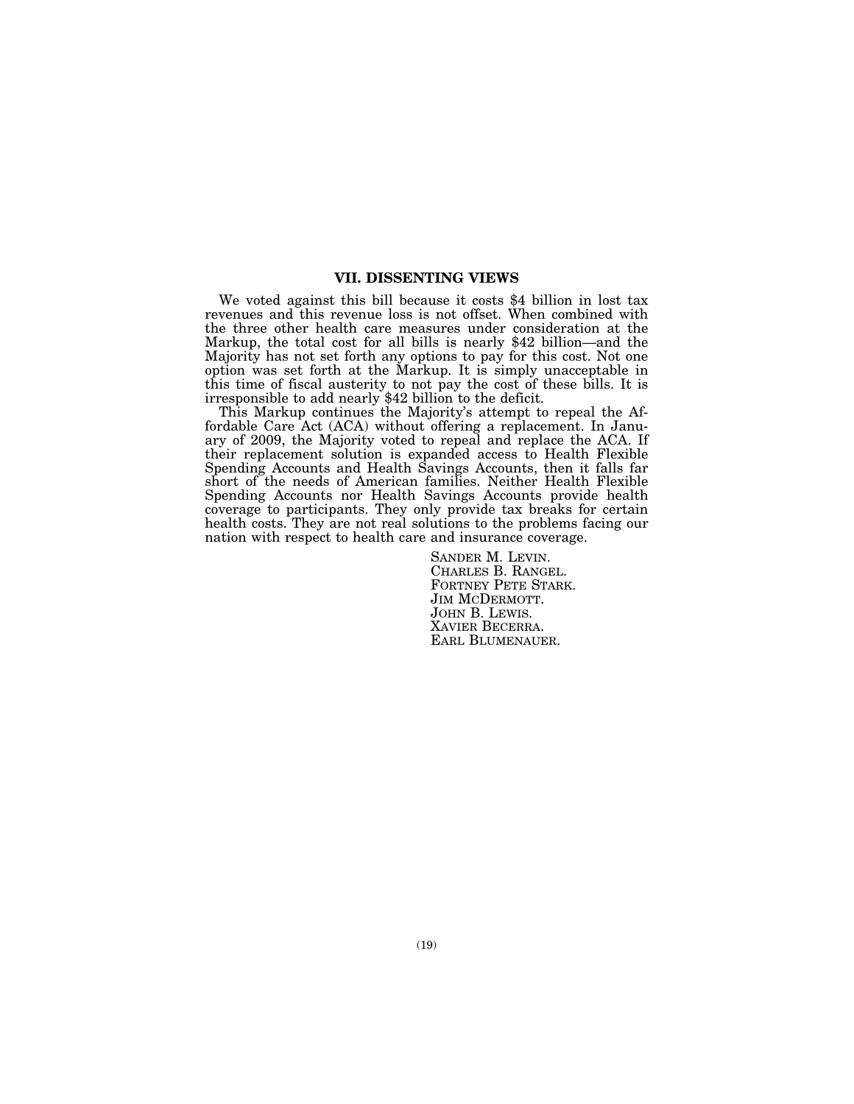## **VII. DISSENTING VIEWS**

We voted against this bill because it costs \$4 billion in lost tax revenues and this revenue loss is not offset. When combined with the three other health care measures under consideration at the Markup, the total cost for all bills is nearly \$42 billion—and the Majority has not set forth any options to pay for this cost. Not one option was set forth at the Markup. It is simply unacceptable in this time of fiscal austerity to not pay the cost of these bills. It is irresponsible to add nearly \$42 billion to the deficit.

This Markup continues the Majority's attempt to repeal the Affordable Care Act (ACA) without offering a replacement. In January of 2009, the Majority voted to repeal and replace the ACA. If their replacement solution is expanded access to Health Flexible Spending Accounts and Health Savings Accounts, then it falls far short of the needs of American families. Neither Health Flexible Spending Accounts nor Health Savings Accounts provide health coverage to participants. They only provide tax breaks for certain health costs. They are not real solutions to the problems facing our nation with respect to health care and insurance coverage.

> SANDER M. LEVIN. CHARLES B. RANGEL. FORTNEY PETE STARK. JIM MCDERMOTT. JOHN B. LEWIS. XAVIER BECERRA. EARL BLUMENAUER.